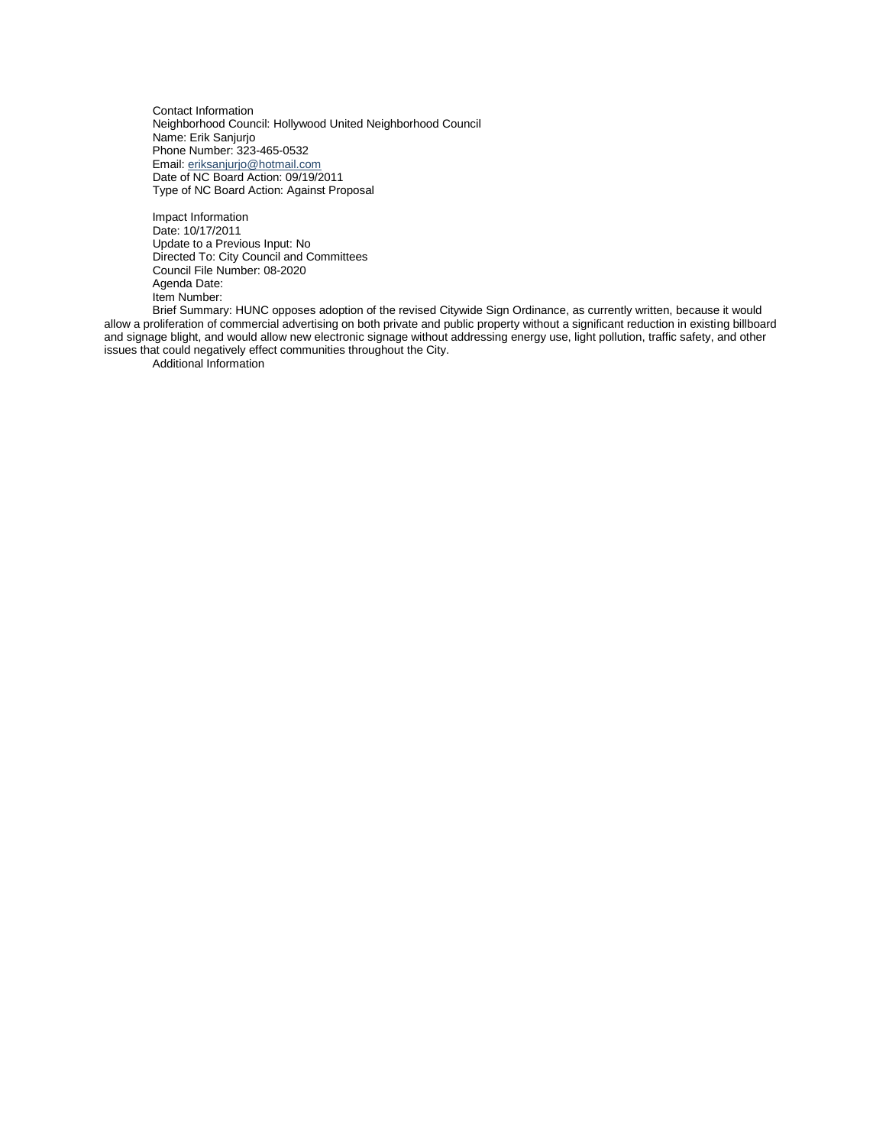Contact Information Neighborhood Council: Hollywood United Neighborhood Council Name: Erik Sanjurjo Phone Number: 323-465-0532 Email: [eriksanjurjo@hotmail.com](mailto:eriksanjurjo@hotmail.com) Date of NC Board Action: 09/19/2011 Type of NC Board Action: Against Proposal

Impact Information Date: 10/17/2011 Update to a Previous Input: No Directed To: City Council and Committees Council File Number: 08-2020 Agenda Date: Item Number:

Brief Summary: HUNC opposes adoption of the revised Citywide Sign Ordinance, as currently written, because it would allow a proliferation of commercial advertising on both private and public property without a significant reduction in existing billboard and signage blight, and would allow new electronic signage without addressing energy use, light pollution, traffic safety, and other issues that could negatively effect communities throughout the City.

Additional Information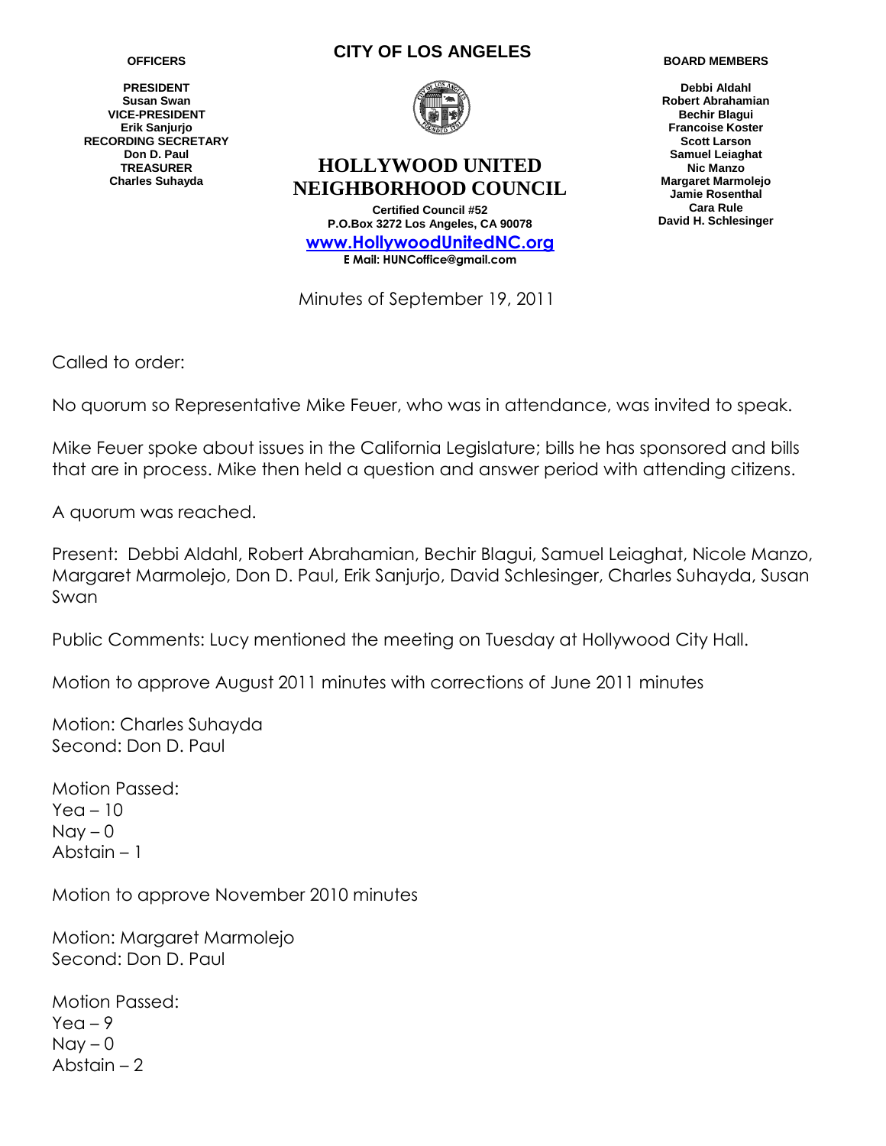**PRESIDENT Susan Swan VICE-PRESIDENT Erik Sanjurjo RECORDING SECRETARY Don D. Paul TREASURER Charles Suhayda**

### **CITY OF LOS ANGELES**



# **HOLLYWOOD UNITED NEIGHBORHOOD COUNCIL**

**Certified Council #52 P.O.Box 3272 Los Angeles, CA 90078 www.HollywoodUnitedNC.org E Mail: HUNCoffice@gmail.com**

Minutes of September 19, 2011

**BOARD MEMBERS**

**Debbi Aldahl Robert Abrahamian Bechir Blagui Francoise Koster Scott Larson Samuel Leiaghat Nic Manzo Margaret Marmolejo Jamie Rosenthal Cara Rule David H. Schlesinger**

Called to order:

No quorum so Representative Mike Feuer, who was in attendance, was invited to speak.

Mike Feuer spoke about issues in the California Legislature; bills he has sponsored and bills that are in process. Mike then held a question and answer period with attending citizens.

A quorum was reached.

Present: Debbi Aldahl, Robert Abrahamian, Bechir Blagui, Samuel Leiaghat, Nicole Manzo, Margaret Marmolejo, Don D. Paul, Erik Sanjurjo, David Schlesinger, Charles Suhayda, Susan Swan

Public Comments: Lucy mentioned the meeting on Tuesday at Hollywood City Hall.

Motion to approve August 2011 minutes with corrections of June 2011 minutes

Motion: Charles Suhayda Second: Don D. Paul

Motion Passed:  $Yea - 10$  $Nay - 0$ Abstain – 1

Motion to approve November 2010 minutes

Motion: Margaret Marmolejo Second: Don D. Paul

Motion Passed:  $Y$ ea – 9  $Nav - 0$ Abstain – 2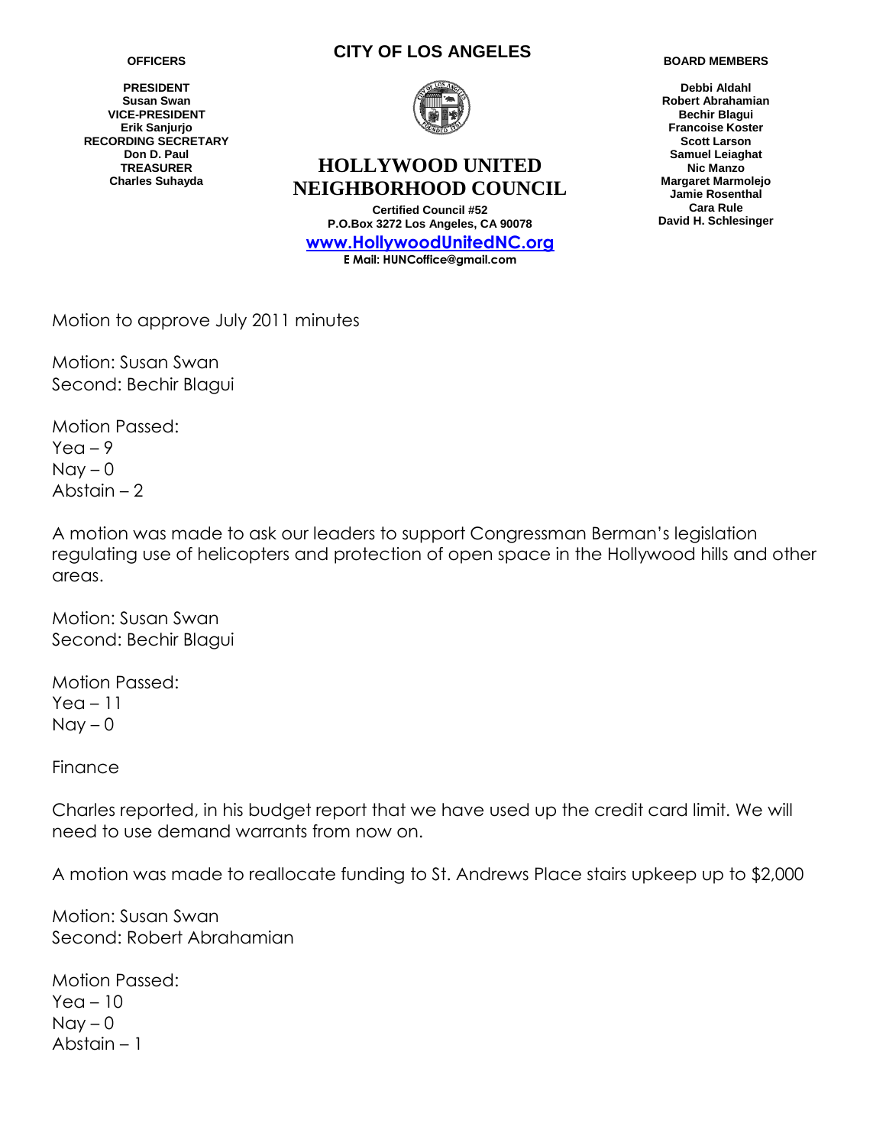**PRESIDENT Susan Swan VICE-PRESIDENT Erik Sanjurjo RECORDING SECRETARY Don D. Paul TREASURER Charles Suhayda**

### **CITY OF LOS ANGELES**



# **HOLLYWOOD UNITED NEIGHBORHOOD COUNCIL**

**Certified Council #52 P.O.Box 3272 Los Angeles, CA 90078 www.HollywoodUnitedNC.org E Mail: HUNCoffice@gmail.com**

**BOARD MEMBERS**

**Debbi Aldahl Robert Abrahamian Bechir Blagui Francoise Koster Scott Larson Samuel Leiaghat Nic Manzo Margaret Marmolejo Jamie Rosenthal Cara Rule David H. Schlesinger**

Motion to approve July 2011 minutes

Motion: Susan Swan Second: Bechir Blagui

Motion Passed:  $Yea - 9$  $Nay - 0$ Abstain – 2

A motion was made to ask our leaders to support Congressman Berman's legislation regulating use of helicopters and protection of open space in the Hollywood hills and other areas.

Motion: Susan Swan Second: Bechir Blagui

Motion Passed:  $Yea - 11$  $Nay - 0$ 

Finance

Charles reported, in his budget report that we have used up the credit card limit. We will need to use demand warrants from now on.

A motion was made to reallocate funding to St. Andrews Place stairs upkeep up to \$2,000

Motion: Susan Swan Second: Robert Abrahamian

Motion Passed: Yea – 10  $\text{Nav} - 0$ Abstain – 1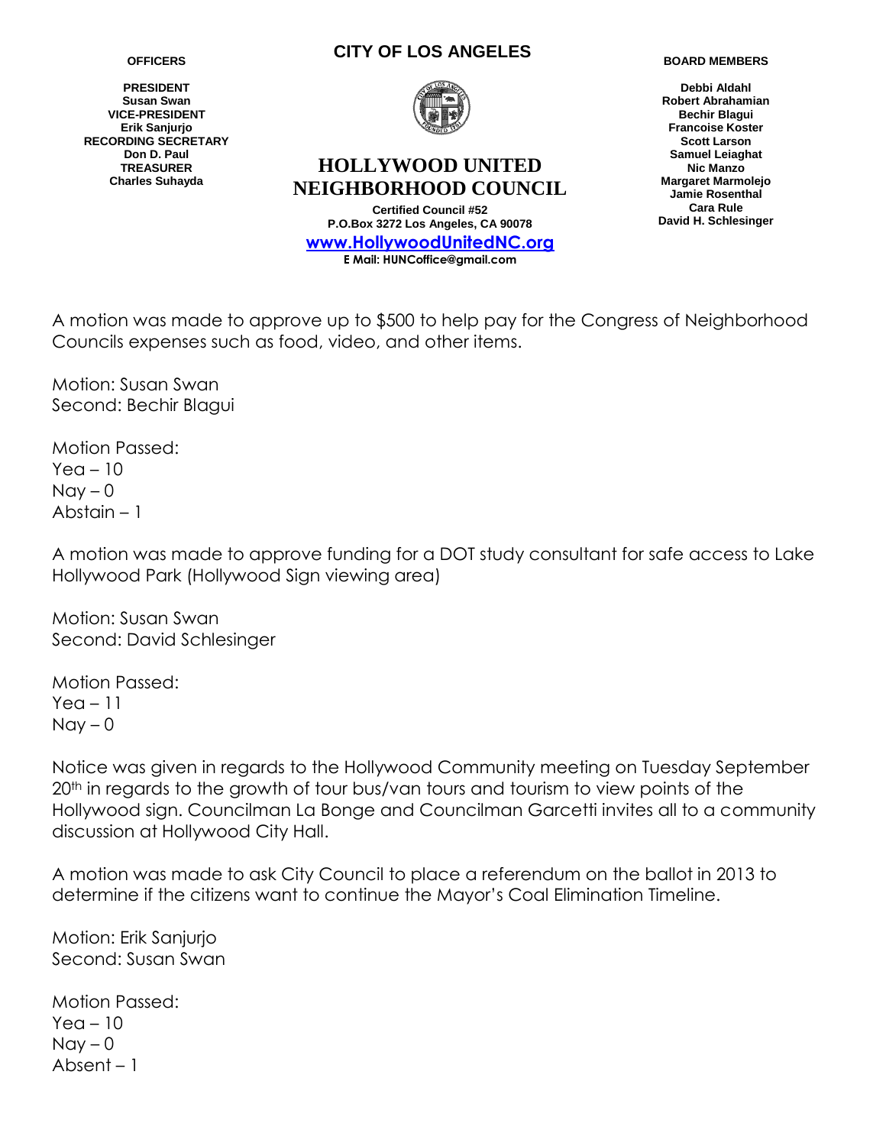**PRESIDENT Susan Swan VICE-PRESIDENT Erik Sanjurjo RECORDING SECRETARY Don D. Paul TREASURER Charles Suhayda**

### **CITY OF LOS ANGELES**



## **HOLLYWOOD UNITED NEIGHBORHOOD COUNCIL**

**Certified Council #52 P.O.Box 3272 Los Angeles, CA 90078 www.HollywoodUnitedNC.org E Mail: HUNCoffice@gmail.com**

**BOARD MEMBERS**

**Debbi Aldahl Robert Abrahamian Bechir Blagui Francoise Koster Scott Larson Samuel Leiaghat Nic Manzo Margaret Marmolejo Jamie Rosenthal Cara Rule David H. Schlesinger**

A motion was made to approve up to \$500 to help pay for the Congress of Neighborhood Councils expenses such as food, video, and other items.

Motion: Susan Swan Second: Bechir Blagui

Motion Passed:  $Yea - 10$  $Nay - 0$ Abstain – 1

A motion was made to approve funding for a DOT study consultant for safe access to Lake Hollywood Park (Hollywood Sign viewing area)

Motion: Susan Swan Second: David Schlesinger

Motion Passed:  $Yea - 11$  $Nay - 0$ 

Notice was given in regards to the Hollywood Community meeting on Tuesday September 20<sup>th</sup> in regards to the growth of tour bus/van tours and tourism to view points of the Hollywood sign. Councilman La Bonge and Councilman Garcetti invites all to a community discussion at Hollywood City Hall.

A motion was made to ask City Council to place a referendum on the ballot in 2013 to determine if the citizens want to continue the Mayor's Coal Elimination Timeline.

Motion: Erik Sanjurjo Second: Susan Swan

Motion Passed:  $Yea - 10$  $\text{Nav} - 0$ Absent – 1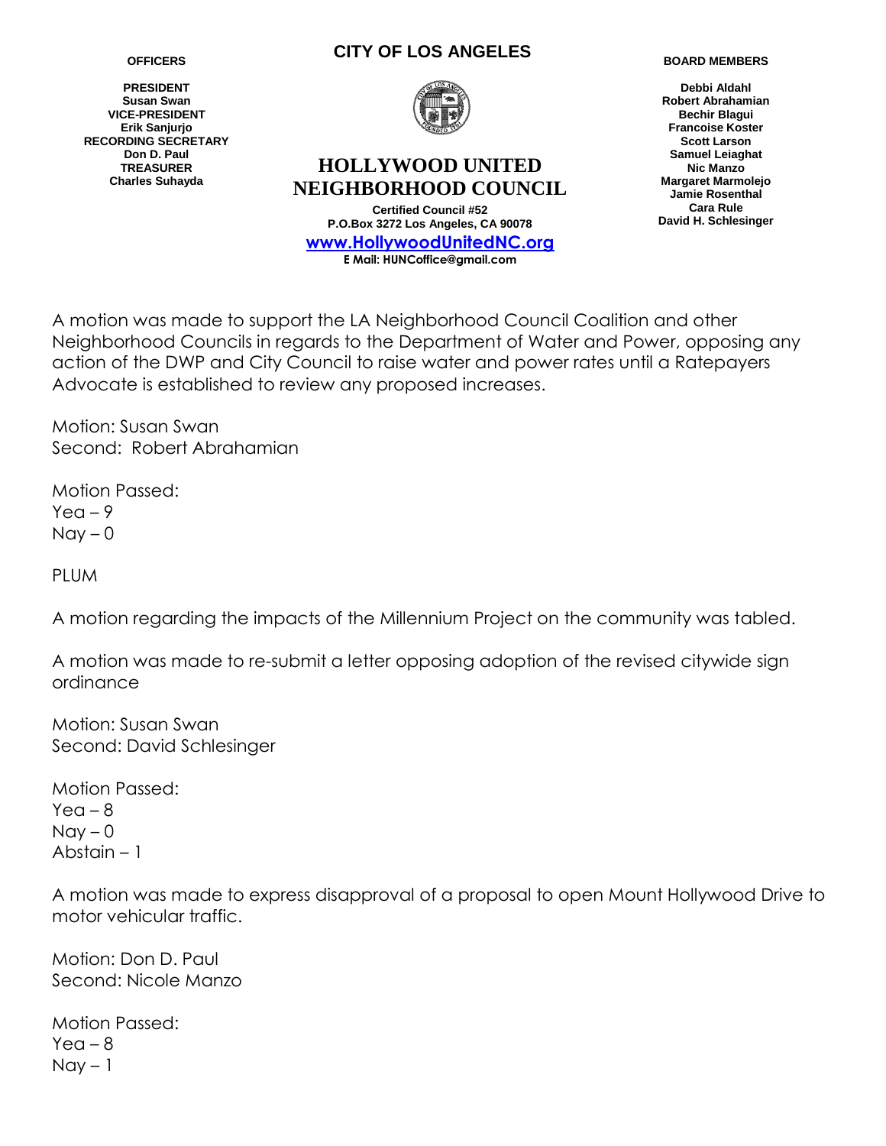**PRESIDENT Susan Swan VICE-PRESIDENT Erik Sanjurjo RECORDING SECRETARY Don D. Paul TREASURER Charles Suhayda**

### **CITY OF LOS ANGELES**



# **HOLLYWOOD UNITED NEIGHBORHOOD COUNCIL**

**Certified Council #52 P.O.Box 3272 Los Angeles, CA 90078 www.HollywoodUnitedNC.org E Mail: HUNCoffice@gmail.com**

**BOARD MEMBERS**

**Debbi Aldahl Robert Abrahamian Bechir Blagui Francoise Koster Scott Larson Samuel Leiaghat Nic Manzo Margaret Marmolejo Jamie Rosenthal Cara Rule David H. Schlesinger**

A motion was made to support the LA Neighborhood Council Coalition and other Neighborhood Councils in regards to the Department of Water and Power, opposing any action of the DWP and City Council to raise water and power rates until a Ratepayers Advocate is established to review any proposed increases.

Motion: Susan Swan Second: Robert Abrahamian

Motion Passed:  $Y$ ea – 9  $Nay - 0$ 

**PLUM** 

A motion regarding the impacts of the Millennium Project on the community was tabled.

A motion was made to re-submit a letter opposing adoption of the revised citywide sign ordinance

Motion: Susan Swan Second: David Schlesinger

Motion Passed:  $Yea - 8$  $Nay - 0$ Abstain – 1

A motion was made to express disapproval of a proposal to open Mount Hollywood Drive to motor vehicular traffic.

Motion: Don D. Paul Second: Nicole Manzo

Motion Passed:  $Yea - 8$  $Nay - 1$